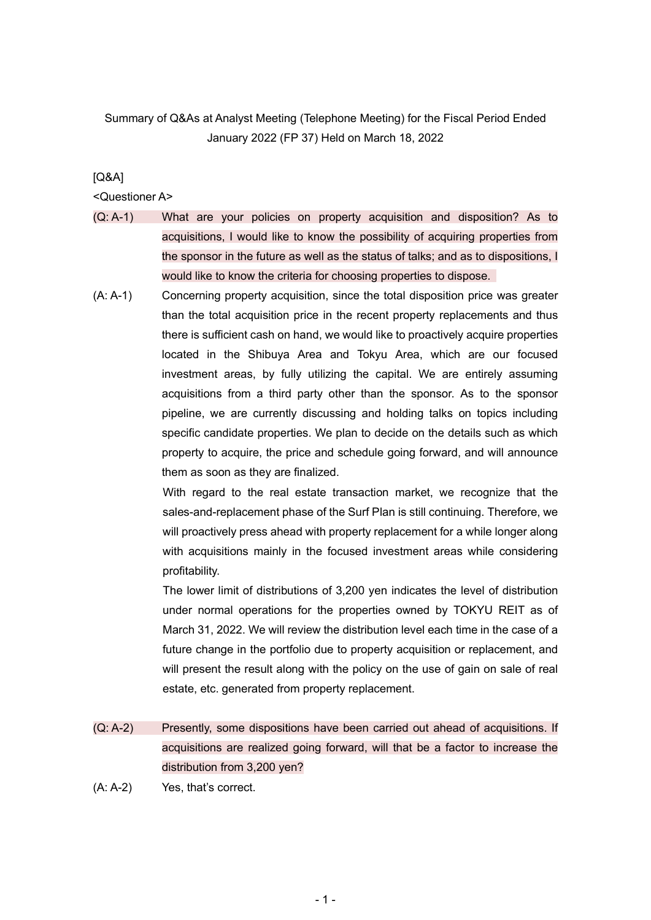## Summary of Q&As at Analyst Meeting (Telephone Meeting) for the Fiscal Period Ended January 2022 (FP 37) Held on March 18, 2022

## [Q&A]

## <Questioner A>

- (Q: A-1) What are your policies on property acquisition and disposition? As to acquisitions, I would like to know the possibility of acquiring properties from the sponsor in the future as well as the status of talks; and as to dispositions, I would like to know the criteria for choosing properties to dispose.
- (A: A-1) Concerning property acquisition, since the total disposition price was greater than the total acquisition price in the recent property replacements and thus there is sufficient cash on hand, we would like to proactively acquire properties located in the Shibuya Area and Tokyu Area, which are our focused investment areas, by fully utilizing the capital. We are entirely assuming acquisitions from a third party other than the sponsor. As to the sponsor pipeline, we are currently discussing and holding talks on topics including specific candidate properties. We plan to decide on the details such as which property to acquire, the price and schedule going forward, and will announce them as soon as they are finalized.

With regard to the real estate transaction market, we recognize that the sales-and-replacement phase of the Surf Plan is still continuing. Therefore, we will proactively press ahead with property replacement for a while longer along with acquisitions mainly in the focused investment areas while considering profitability.

The lower limit of distributions of 3,200 yen indicates the level of distribution under normal operations for the properties owned by TOKYU REIT as of March 31, 2022. We will review the distribution level each time in the case of a future change in the portfolio due to property acquisition or replacement, and will present the result along with the policy on the use of gain on sale of real estate, etc. generated from property replacement.

- (Q: A-2) Presently, some dispositions have been carried out ahead of acquisitions. If acquisitions are realized going forward, will that be a factor to increase the distribution from 3,200 yen?
- (A: A-2) Yes, that's correct.